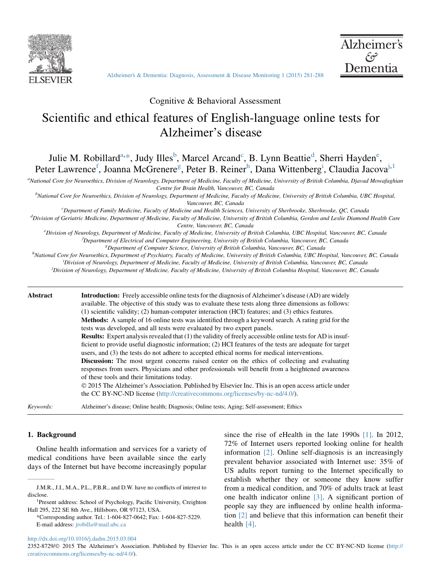



[Alzheimer's & Dementia: Diagnosis, Assessment & Disease Monitoring 1 \(2015\) 281-288](http://dx.doi.org/10.1016/j.dadm.2015.03.004)

# Cognitive & Behavioral Assessment

# Scientific and ethical features of English-language online tests for Alzheimer's disease

# Julie M. Robillard<sup>a,\*</sup>, Judy Illes<sup>b</sup>, Marcel Arcand<sup>c</sup>, B. Lynn Beattie<sup>d</sup>, Sherri Hayden<sup>e</sup>, Peter Lawrence<sup>f</sup>, Joanna McGrenere<sup>g</sup>, Peter B. Reiner<sup>h</sup>, Dana Wittenberg<sup>i</sup>, Claudia Jacova<sup>j, 1</sup>

a National Core for Neuroethics, Division of Neurology, Department of Medicine, Faculty of Medicine, University of British Columbia, Djavad Mowafaghian

Centre for Brain Health, Vancouver, BC, Canada<br><sup>B</sup>National Core for Neuroethics, Division of Neurology, Department of Medicine, Faculty of Medicine, University of British Columbia, UBC Hospital, Vancouver, BC, Canada

<sup>c</sup>Department of Family Medicine, Faculty of Medicine and Health Sciences, University of Sherbrooke, Sherbrooke, QC, Canada<br><sup>d</sup>Division of Geriatric Medicine, Department of Medicine, Equulty of Medicine, University of Brit

 $^d$ Division of Geriatric Medicine, Department of Medicine, Faculty of Medicine, University of British Columbia, Gordon and Leslie Diamond Health Care Centre, Vancouver, BC, Canada

e Division of Neurology, Department of Medicine, Faculty of Medicine, University of British Columbia, UBC Hospital, Vancouver, BC, Canada f<br>
Department of Electrical and Computer Engineering, University of British Columbia, Vancouver, BC, Canada<br>
SDanartment of Computer Science, University of British Columbia, Vancouver, BC, Canada

<sup>8</sup>Department of Computer Science, University of British Columbia, Vancouver, BC, Canada

<sup>h</sup>National Core for Neuroethics, Department of Psychiatry, Faculty of Medicine, University of British Columbia, UBC Hospital, Vancouver, BC, Canada i Division of Neurology, Department of Medicine, Faculty of Medicine, University of British Columbia, Vancouver, BC, Canada

j Division of Neurology, Department of Medicine, Faculty of Medicine, University of British Columbia Hospital, Vancouver, BC, Canada

Abstract Introduction: Freely accessible online tests for the diagnosis of Alzheimer's disease (AD) are widely available. The objective of this study was to evaluate these tests along three dimensions as follows: (1) scientific validity; (2) human-computer interaction (HCI) features; and (3) ethics features. Methods: A sample of 16 online tests was identified through a keyword search. A rating grid for the tests was developed, and all tests were evaluated by two expert panels. Results: Expert analysis revealed that (1) the validity of freely accessible online tests for AD is insufficient to provide useful diagnostic information; (2) HCI features of the tests are adequate for target users, and (3) the tests do not adhere to accepted ethical norms for medical interventions. Discussion: The most urgent concerns raised center on the ethics of collecting and evaluating responses from users. Physicians and other professionals will benefit from a heightened awareness of these tools and their limitations today. 2015 The Alzheimer's Association. Published by Elsevier Inc. This is an open access article under the CC BY-NC-ND license [\(http://creativecommons.org/licenses/by-nc-nd/4.0/\)](http://creativecommons.org/licenses/by-nc-nd/4.�0/). Keywords: Alzheimer's disease; Online health; Diagnosis; Online tests; Aging; Self-assessment; Ethics

## 1. Background

Online health information and services for a variety of medical conditions have been available since the early days of the Internet but have become increasingly popular

<sup>1</sup>Present address: School of Psychology, Pacific University, Creighton Hall 295, 222 SE 8th Ave., Hillsboro, OR 97123, USA.

\*Corresponding author. Tel.: 1-604-827-0642; Fax: 1-604-827-5229. E-mail address: [jrobilla@mail.ubc.ca](mailto:jrobilla@mail.ubc.ca)

since the rise of eHealth in the late 1990s [\[1\].](#page-6-0) In 2012, 72% of Internet users reported looking online for health information [\[2\]](#page-6-0). Online self-diagnosis is an increasingly prevalent behavior associated with Internet use: 35% of US adults report turning to the Internet specifically to establish whether they or someone they know suffer from a medical condition, and 70% of adults track at least one health indicator online [\[3\]](#page-6-0). A significant portion of people say they are influenced by online health information [\[2\]](#page-6-0) and believe that this information can benefit their health [\[4\]](#page-6-0).

#### <http://dx.doi.org/10.1016/j.dadm.2015.03.004>

2352-8729/© 2015 The Alzheimer's Association. Published by Elsevier Inc. This is an open access article under the CC BY-NC-ND license ([http://](http://creativecommons.org/licenses/by-nc-nd/4.�0/) [creativecommons.org/licenses/by-nc-nd/4.0/](http://creativecommons.org/licenses/by-nc-nd/4.�0/)).

J.M.R., J.I., M.A., P.L., P.B.R., and D.W. have no conflicts of interest to disclose.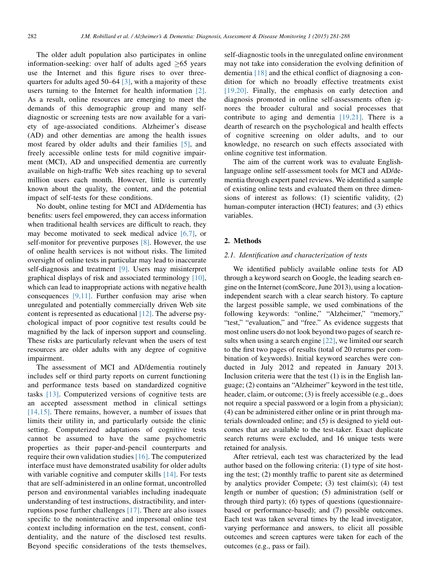The older adult population also participates in online information-seeking: over half of adults aged  $\geq 65$  years use the Internet and this figure rises to over threequarters for adults aged 50–64 [\[3\],](#page-6-0) with a majority of these users turning to the Internet for health information [\[2\].](#page-6-0) As a result, online resources are emerging to meet the demands of this demographic group and many selfdiagnostic or screening tests are now available for a variety of age-associated conditions. Alzheimer's disease (AD) and other dementias are among the health issues most feared by older adults and their families [\[5\]](#page-6-0), and freely accessible online tests for mild cognitive impairment (MCI), AD and unspecified dementia are currently available on high-traffic Web sites reaching up to several million users each month. However, little is currently known about the quality, the content, and the potential impact of self-tests for these conditions.

No doubt, online testing for MCI and AD/dementia has benefits: users feel empowered, they can access information when traditional health services are difficult to reach, they may become motivated to seek medical advice [\[6,7\],](#page-6-0) or self-monitor for preventive purposes [\[8\].](#page-6-0) However, the use of online health services is not without risks. The limited oversight of online tests in particular may lead to inaccurate self-diagnosis and treatment [\[9\].](#page-6-0) Users may misinterpret graphical displays of risk and associated terminology [\[10\],](#page-6-0) which can lead to inappropriate actions with negative health consequences [\[9,11\]](#page-6-0). Further confusion may arise when unregulated and potentially commercially driven Web site content is represented as educational [\[12\].](#page-6-0) The adverse psychological impact of poor cognitive test results could be magnified by the lack of inperson support and counseling. These risks are particularly relevant when the users of test resources are older adults with any degree of cognitive impairment.

The assessment of MCI and AD/dementia routinely includes self or third party reports on current functioning and performance tests based on standardized cognitive tasks [\[13\].](#page-6-0) Computerized versions of cognitive tests are an accepted assessment method in clinical settings [\[14,15\].](#page-6-0) There remains, however, a number of issues that limits their utility in, and particularly outside the clinic setting. Computerized adaptations of cognitive tests cannot be assumed to have the same psychometric properties as their paper-and-pencil counterparts and require their own validation studies [\[16\].](#page-6-0) The computerized interface must have demonstrated usability for older adults with variable cognitive and computer skills [\[14\]](#page-6-0). For tests that are self-administered in an online format, uncontrolled person and environmental variables including inadequate understanding of test instructions, distractibility, and interruptions pose further challenges [\[17\].](#page-6-0) There are also issues specific to the noninteractive and impersonal online test context including information on the test, consent, confidentiality, and the nature of the disclosed test results. Beyond specific considerations of the tests themselves,

self-diagnostic tools in the unregulated online environment may not take into consideration the evolving definition of dementia [\[18\]](#page-6-0) and the ethical conflict of diagnosing a condition for which no broadly effective treatments exist [\[19,20\].](#page-6-0) Finally, the emphasis on early detection and diagnosis promoted in online self-assessments often ignores the broader cultural and social processes that contribute to aging and dementia [\[19,21\].](#page-6-0) There is a dearth of research on the psychological and health effects of cognitive screening on older adults, and to our knowledge, no research on such effects associated with online cognitive test information.

The aim of the current work was to evaluate Englishlanguage online self-assessment tools for MCI and AD/dementia through expert panel reviews. We identified a sample of existing online tests and evaluated them on three dimensions of interest as follows: (1) scientific validity, (2) human-computer interaction (HCI) features; and (3) ethics variables.

## 2. Methods

## 2.1. Identification and characterization of tests

We identified publicly available online tests for AD through a keyword search on Google, the leading search engine on the Internet (comScore, June 2013), using a locationindependent search with a clear search history. To capture the largest possible sample, we used combinations of the following keywords: "online," "Alzheimer," "memory," "test," "evaluation," and "free." As evidence suggests that most online users do not look beyond two pages of search re-sults when using a search engine [\[22\]](#page-6-0), we limited our search to the first two pages of results (total of 20 returns per combination of keywords). Initial keyword searches were conducted in July 2012 and repeated in January 2013. Inclusion criteria were that the test  $(1)$  is in the English language; (2) contains an "Alzheimer" keyword in the test title, header, claim, or outcome; (3) is freely accessible (e.g., does not require a special password or a login from a physician); (4) can be administered either online or in print through materials downloaded online; and (5) is designed to yield outcomes that are available to the test-taker. Exact duplicate search returns were excluded, and 16 unique tests were retained for analysis.

After retrieval, each test was characterized by the lead author based on the following criteria: (1) type of site hosting the test; (2) monthly traffic to parent site as determined by analytics provider Compete; (3) test claim(s); (4) test length or number of question; (5) administration (self or through third party); (6) types of questions (questionnairebased or performance-based); and (7) possible outcomes. Each test was taken several times by the lead investigator, varying performance and answers, to elicit all possible outcomes and screen captures were taken for each of the outcomes (e.g., pass or fail).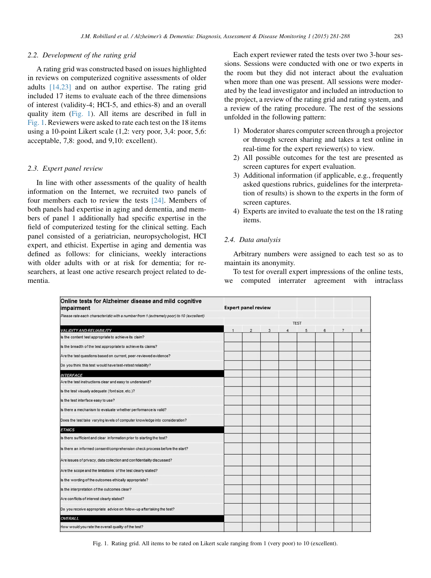## <span id="page-2-0"></span>2.2. Development of the rating grid

A rating grid was constructed based on issues highlighted in reviews on computerized cognitive assessments of older adults [\[14,23\]](#page-6-0) and on author expertise. The rating grid included 17 items to evaluate each of the three dimensions of interest (validity-4; HCI-5, and ethics-8) and an overall quality item (Fig. 1). All items are described in full in Fig. 1. Reviewers were asked to rate each test on the 18 items using a 10-point Likert scale (1,2: very poor, 3,4: poor, 5,6: acceptable, 7,8: good, and 9,10: excellent).

#### 2.3. Expert panel review

In line with other assessments of the quality of health information on the Internet, we recruited two panels of four members each to review the tests [\[24\]](#page-6-0). Members of both panels had expertise in aging and dementia, and members of panel 1 additionally had specific expertise in the field of computerized testing for the clinical setting. Each panel consisted of a geriatrician, neuropsychologist, HCI expert, and ethicist. Expertise in aging and dementia was defined as follows: for clinicians, weekly interactions with older adults with or at risk for dementia; for researchers, at least one active research project related to dementia.

Each expert reviewer rated the tests over two 3-hour sessions. Sessions were conducted with one or two experts in the room but they did not interact about the evaluation when more than one was present. All sessions were moderated by the lead investigator and included an introduction to the project, a review of the rating grid and rating system, and a review of the rating procedure. The rest of the sessions unfolded in the following pattern:

- 1) Moderator shares computer screen through a projector or through screen sharing and takes a test online in real-time for the expert reviewer(s) to view.
- 2) All possible outcomes for the test are presented as screen captures for expert evaluation.
- 3) Additional information (if applicable, e.g., frequently asked questions rubrics, guidelines for the interpretation of results) is shown to the experts in the form of screen captures.
- 4) Experts are invited to evaluate the test on the 18 rating items.

## 2.4. Data analysis

Arbitrary numbers were assigned to each test so as to maintain its anonymity.

To test for overall expert impressions of the online tests, we computed interrater agreement with intraclass

| Please rate each characteristic with a number from 1 (extremely poor) to 10 (excellent)<br><b>VALIDITY AND RELIABILITY</b><br>Is the content test appropriate to achieve its claim? | $\mathbf{1}$ |                |             |   |   |   |                |   |  |  |  |  |
|-------------------------------------------------------------------------------------------------------------------------------------------------------------------------------------|--------------|----------------|-------------|---|---|---|----------------|---|--|--|--|--|
|                                                                                                                                                                                     |              |                |             |   |   |   |                |   |  |  |  |  |
|                                                                                                                                                                                     |              |                | <b>TEST</b> |   |   |   |                |   |  |  |  |  |
|                                                                                                                                                                                     |              | $\overline{2}$ | 3           | 4 | 5 | 6 | $\overline{7}$ | 8 |  |  |  |  |
|                                                                                                                                                                                     |              |                |             |   |   |   |                |   |  |  |  |  |
| Is the breadth of the test appropriate to achieve its claims?                                                                                                                       |              |                |             |   |   |   |                |   |  |  |  |  |
| Are the test questions based on current, peer-reviewed evidence?                                                                                                                    |              |                |             |   |   |   |                |   |  |  |  |  |
| Do you think this test would have test-retest reliability?                                                                                                                          |              |                |             |   |   |   |                |   |  |  |  |  |
| <b>INTERFACE</b>                                                                                                                                                                    |              |                |             |   |   |   |                |   |  |  |  |  |
| Are the test instructions clear and easy to understand?                                                                                                                             |              |                |             |   |   |   |                |   |  |  |  |  |
| Is the test visually adequate (font size, etc.)?                                                                                                                                    |              |                |             |   |   |   |                |   |  |  |  |  |
| Is the test interface easy to use?                                                                                                                                                  |              |                |             |   |   |   |                |   |  |  |  |  |
| Is there a mechanism to evaluate whether performance is valid?                                                                                                                      |              |                |             |   |   |   |                |   |  |  |  |  |
| Does the test take varying levels of computer knowledge into consideration?                                                                                                         |              |                |             |   |   |   |                |   |  |  |  |  |
| <b>ETHICS</b>                                                                                                                                                                       |              |                |             |   |   |   |                |   |  |  |  |  |
| Is there sufficient and clear information prior to starting the test?                                                                                                               |              |                |             |   |   |   |                |   |  |  |  |  |
| Is there an informed consent/comprehension check process before the start?                                                                                                          |              |                |             |   |   |   |                |   |  |  |  |  |
| Are issues of privacy, data collection and confidentiality discussed?                                                                                                               |              |                |             |   |   |   |                |   |  |  |  |  |
| Are the scope and the limitations of the test clearly stated?                                                                                                                       |              |                |             |   |   |   |                |   |  |  |  |  |
| Is the wording of the outcomes ethically appropriate?                                                                                                                               |              |                |             |   |   |   |                |   |  |  |  |  |
| Is the interpretation of the outcomes clear?                                                                                                                                        |              |                |             |   |   |   |                |   |  |  |  |  |
| Are conflicts of interest clearly stated?                                                                                                                                           |              |                |             |   |   |   |                |   |  |  |  |  |
| Do you receive appropriate advice on follow-up aftertaking the test?                                                                                                                |              |                |             |   |   |   |                |   |  |  |  |  |
| OVERALL                                                                                                                                                                             |              |                |             |   |   |   |                |   |  |  |  |  |
| How would you rate the overall quality of the test?                                                                                                                                 |              |                |             |   |   |   |                |   |  |  |  |  |

Fig. 1. Rating grid. All items to be rated on Likert scale ranging from 1 (very poor) to 10 (excellent).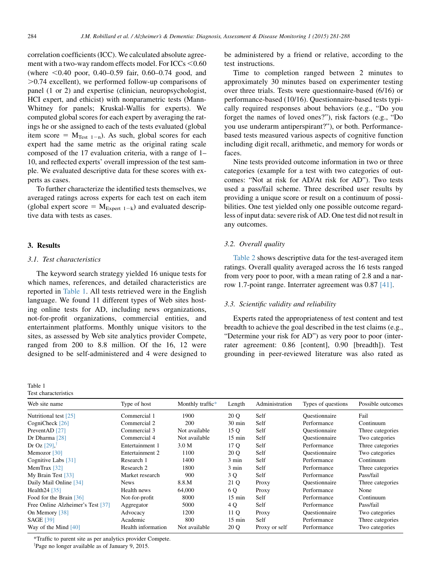correlation coefficients (ICC). We calculated absolute agreement with a two-way random effects model. For  $\text{ICC}_S < 0.60$ (where  $\leq 0.40$  poor, 0.40–0.59 fair, 0.60–0.74 good, and  $>0.74$  excellent), we performed follow-up comparisons of panel (1 or 2) and expertise (clinician, neuropsychologist, HCI expert, and ethicist) with nonparametric tests (Mann-Whitney for panels; Kruskal-Wallis for experts). We computed global scores for each expert by averaging the ratings he or she assigned to each of the tests evaluated (global item score =  $M_{Test\ 1-n}$ ). As such, global scores for each expert had the same metric as the original rating scale composed of the 17 evaluation criteria, with a range of 1– 10, and reflected experts' overall impression of the test sample. We evaluated descriptive data for these scores with experts as cases.

To further characterize the identified tests themselves, we averaged ratings across experts for each test on each item (global expert score =  $M<sub>Expert 1-k</sub>$ ) and evaluated descriptive data with tests as cases.

### 3. Results

#### 3.1. Test characteristics

The keyword search strategy yielded 16 unique tests for which names, references, and detailed characteristics are reported in Table 1. All tests retrieved were in the English language. We found 11 different types of Web sites hosting online tests for AD, including news organizations, not-for-profit organizations, commercial entities, and entertainment platforms. Monthly unique visitors to the sites, as assessed by Web site analytics provider Compete, ranged from 200 to 8.8 million. Of the 16, 12 were designed to be self-administered and 4 were designed to

Table 1

#### Test characteristics

be administered by a friend or relative, according to the test instructions.

Time to completion ranged between 2 minutes to approximately 30 minutes based on experimenter testing over three trials. Tests were questionnaire-based (6/16) or performance-based (10/16). Questionnaire-based tests typically required responses about behaviors (e.g., "Do you forget the names of loved ones?"), risk factors (e.g., "Do you use underarm antiperspirant?"), or both. Performancebased tests measured various aspects of cognitive function including digit recall, arithmetic, and memory for words or faces.

Nine tests provided outcome information in two or three categories (example for a test with two categories of outcomes: "Not at risk for AD/At risk for AD"). Two tests used a pass/fail scheme. Three described user results by providing a unique score or result on a continuum of possibilities. One test yielded only one possible outcome regardless of input data: severe risk of AD. One test did not result in any outcomes.

## 3.2. Overall quality

[Table 2](#page-4-0) shows descriptive data for the test-averaged item ratings. Overall quality averaged across the 16 tests ranged from very poor to poor, with a mean rating of 2.8 and a narrow 1.7-point range. Interrater agreement was 0.87 [\[41\].](#page-7-0)

#### 3.3. Scientific validity and reliability

Experts rated the appropriateness of test content and test breadth to achieve the goal described in the test claims (e.g., "Determine your risk for AD") as very poor to poor (interrater agreement: 0.86 [content], 0.90 [breadth]). Test grounding in peer-reviewed literature was also rated as

| Web site name                     | Type of host       | Monthly traffic* | Length           | Administration        | Types of questions | Possible outcomes |  |
|-----------------------------------|--------------------|------------------|------------------|-----------------------|--------------------|-------------------|--|
| Nutritional test [25]             | Commercial 1       | 1900             | 20 Q             | Self                  | Ouestionnaire      | Fail              |  |
| CogniCheck [26]                   | Commercial 2       | 200              | $30 \text{ min}$ | Self<br>Performance   |                    | Continuum         |  |
| PreventAD [27]                    | Commercial 3       | Not available    | 15 Q             | Self<br>Ouestionnaire |                    | Three categories  |  |
| Dr Dharma [28]                    | Commercial 4       | Not available    | $15 \text{ min}$ | Self<br>Ouestionnaire |                    | Two categories    |  |
| Dr Oz $[29]$ <sup>†</sup>         | Entertainment 1    | 3.0 M            | 17 Q             | Self                  | Performance        | Three categories  |  |
| Memozor [30]                      | Entertainment 2    | 1100             | 20 Q             | Self                  | Ouestionnaire      | Two categories    |  |
| Cognitive Labs [31]               | Research 1         | 1400             | 3 min            | Self                  | Performance        | Continuum         |  |
| MemTrax [32]                      | Research 2         | 1800             | 3 min            | Self                  | Performance        | Three categories  |  |
| My Brain Test [33]                | Market research    | 900              | 3 Q              | Self                  | Performance        | Pass/fail         |  |
| Daily Mail Online [34]            | <b>News</b>        | 8.8.M            | 21 Q             | Proxy                 | Ouestionnaire      | Three categories  |  |
| Health $24$ [35]                  | Health news        | 64,000           | 6 Q              | Proxy                 | Performance        | None              |  |
| Food for the Brain [36]           | Not-for-profit     | 8000             | $15 \text{ min}$ | Self                  | Performance        | Continuum         |  |
| Free Online Alzheimer's Test [37] | Aggregator         | 5000             | 4 Q              | Self                  | Performance        | Pass/fail         |  |
| On Memory [38]                    | Advocacy           | 1200             | 11 Q             | Proxy                 | Ouestionnaire      | Two categories    |  |
| <b>SAGE [39]</b>                  | Academic           | 800              | $15 \text{ min}$ | Self                  | Performance        | Three categories  |  |
| Way of the Mind $[40]$            | Health information | Not available    | 20 O             | Proxy or self         | Performance        | Two categories    |  |

\*Traffic to parent site as per analytics provider Compete.

<sup>†</sup>Page no longer available as of January 9, 2015.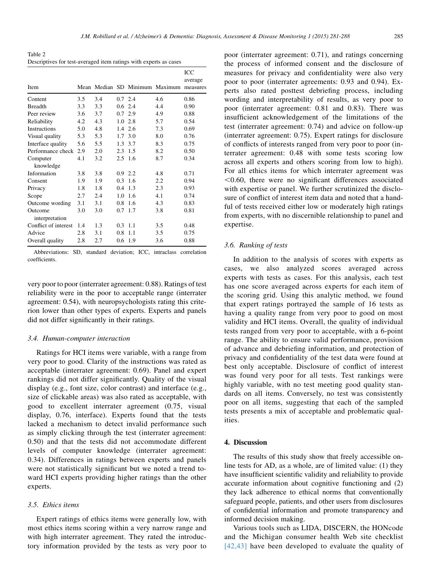<span id="page-4-0"></span>Table 2 Descriptives for test-averaged item ratings with experts as cases

|                           |     |     |                 |                                |     | ICC<br>average<br>measures |  |
|---------------------------|-----|-----|-----------------|--------------------------------|-----|----------------------------|--|
| Item                      |     |     |                 | Mean Median SD Minimum Maximum |     |                            |  |
| Content                   | 3.5 | 3.4 | $0.7$ 2.4       |                                | 4.6 | 0.86                       |  |
| <b>Breadth</b>            | 3.3 | 3.3 | $0.6$ 2.4       |                                | 4.4 | 0.90                       |  |
| Peer review               | 3.6 | 3.7 | $0.7$ 2.9       |                                | 4.9 | 0.88                       |  |
| Reliability               | 4.2 | 4.3 |                 | $1.0$ 2.8                      | 5.7 | 0.54                       |  |
| <b>Instructions</b>       | 5.0 | 4.8 |                 | $1.4$ 2.6                      | 7.3 | 0.69                       |  |
| Visual quality            | 5.3 | 5.3 | 1.7             | 3.0                            | 8.0 | 0.76                       |  |
| Interface quality         | 5.6 | 5.5 | 1.3             | 3.7                            | 8.3 | 0.75                       |  |
| Performance check         | 2.9 | 2.0 | 2.3             | 1.5                            | 8.2 | 0.50                       |  |
| Computer                  | 4.1 | 3.2 | $2.5 \t1.6$     |                                | 8.7 | 0.34                       |  |
| knowledge                 |     |     |                 |                                |     |                            |  |
| Information               | 3.8 | 3.8 | $0.9$ 2.2       |                                | 4.8 | 0.71                       |  |
| Consent                   | 1.9 | 1.9 | 0.3             | 1.6                            | 2.2 | 0.94                       |  |
| Privacy                   | 1.8 | 1.8 | 0.4             | 1.3                            | 2.3 | 0.93                       |  |
| Scope                     | 2.7 | 2.4 | 1.0             | 1.6                            | 4.1 | 0.74                       |  |
| Outcome wording           | 3.1 | 3.1 | 0.8             | 1.6                            | 4.3 | 0.83                       |  |
| Outcome<br>interpretation | 3.0 | 3.0 | 0.7             | 1.7                            | 3.8 | 0.81                       |  |
| Conflict of interest      | 1.4 | 1.3 | $0.3 \quad 1.1$ |                                | 3.5 | 0.48                       |  |
| Advice                    | 2.8 | 3.1 | 0.8             | 1.1                            | 3.5 | 0.75                       |  |
| Overall quality           | 2.8 | 2.7 | 0.6             | 1.9                            | 3.6 | 0.88                       |  |

Abbreviations: SD, standard deviation; ICC, intraclass correlation coefficients.

very poor to poor (interrater agreement: 0.88). Ratings of test reliability were in the poor to acceptable range (interrater agreement: 0.54), with neuropsychologists rating this criterion lower than other types of experts. Experts and panels did not differ significantly in their ratings.

#### 3.4. Human-computer interaction

Ratings for HCI items were variable, with a range from very poor to good. Clarity of the instructions was rated as acceptable (interrater agreement: 0.69). Panel and expert rankings did not differ significantly. Quality of the visual display (e.g., font size, color contrast) and interface (e.g., size of clickable areas) was also rated as acceptable, with good to excellent interrater agreement (0.75, visual display, 0.76, interface). Experts found that the tests lacked a mechanism to detect invalid performance such as simply clicking through the test (interrater agreement: 0.50) and that the tests did not accommodate different levels of computer knowledge (interrater agreement: 0.34). Differences in ratings between experts and panels were not statistically significant but we noted a trend toward HCI experts providing higher ratings than the other experts.

## 3.5. Ethics items

Expert ratings of ethics items were generally low, with most ethics items scoring within a very narrow range and with high interrater agreement. They rated the introductory information provided by the tests as very poor to poor (interrater agreement: 0.71), and ratings concerning the process of informed consent and the disclosure of measures for privacy and confidentiality were also very poor to poor (interrater agreements: 0.93 and 0.94). Experts also rated posttest debriefing process, including wording and interpretability of results, as very poor to poor (interrater agreement: 0.81 and 0.83). There was insufficient acknowledgement of the limitations of the test (interrater agreement: 0.74) and advice on follow-up (interrater agreement: 0.75). Expert ratings for disclosure of conflicts of interests ranged from very poor to poor (interrater agreement: 0.48 with some tests scoring low across all experts and others scoring from low to high). For all ethics items for which interrater agreement was  $< 0.60$ , there were no significant differences associated with expertise or panel. We further scrutinized the disclosure of conflict of interest item data and noted that a handful of tests received either low or moderately high ratings from experts, with no discernible relationship to panel and expertise.

### 3.6. Ranking of tests

In addition to the analysis of scores with experts as cases, we also analyzed scores averaged across experts with tests as cases. For this analysis, each test has one score averaged across experts for each item of the scoring grid. Using this analytic method, we found that expert ratings portrayed the sample of 16 tests as having a quality range from very poor to good on most validity and HCI items. Overall, the quality of individual tests ranged from very poor to acceptable, with a 6-point range. The ability to ensure valid performance, provision of advance and debriefing information, and protection of privacy and confidentiality of the test data were found at best only acceptable. Disclosure of conflict of interest was found very poor for all tests. Test rankings were highly variable, with no test meeting good quality standards on all items. Conversely, no test was consistently poor on all items, suggesting that each of the sampled tests presents a mix of acceptable and problematic qualities.

## 4. Discussion

The results of this study show that freely accessible online tests for AD, as a whole, are of limited value: (1) they have insufficient scientific validity and reliability to provide accurate information about cognitive functioning and (2) they lack adherence to ethical norms that conventionally safeguard people, patients, and other users from disclosures of confidential information and promote transparency and informed decision making.

Various tools such as LIDA, DISCERN, the HONcode and the Michigan consumer health Web site checklist [\[42,43\]](#page-7-0) have been developed to evaluate the quality of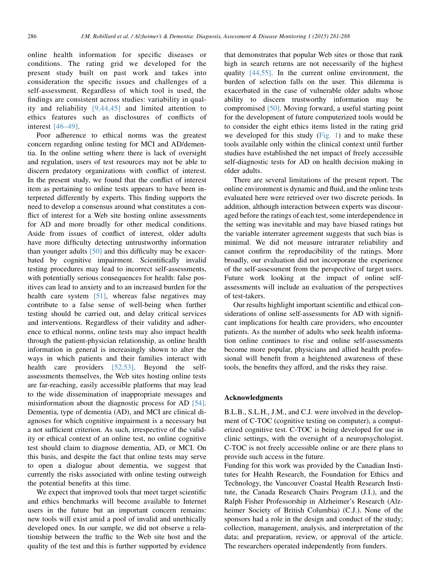online health information for specific diseases or conditions. The rating grid we developed for the present study built on past work and takes into consideration the specific issues and challenges of a self-assessment. Regardless of which tool is used, the findings are consistent across studies: variability in quality and reliability [\[9,44,45\]](#page-6-0) and limited attention to ethics features such as disclosures of conflicts of interest [\[46–49\]](#page-7-0).

Poor adherence to ethical norms was the greatest concern regarding online testing for MCI and AD/dementia. In the online setting where there is lack of oversight and regulation, users of test resources may not be able to discern predatory organizations with conflict of interest. In the present study, we found that the conflict of interest item as pertaining to online tests appears to have been interpreted differently by experts. This finding supports the need to develop a consensus around what constitutes a conflict of interest for a Web site hosting online assessments for AD and more broadly for other medical conditions. Aside from issues of conflict of interest, older adults have more difficulty detecting untrustworthy information than younger adults [\[50\]](#page-7-0) and this difficulty may be exacerbated by cognitive impairment. Scientifically invalid testing procedures may lead to incorrect self-assessments, with potentially serious consequences for health: false positives can lead to anxiety and to an increased burden for the health care system  $[51]$ , whereas false negatives may contribute to a false sense of well-being when further testing should be carried out, and delay critical services and interventions. Regardless of their validity and adherence to ethical norms, online tests may also impact health through the patient-physician relationship, as online health information in general is increasingly shown to alter the ways in which patients and their families interact with health care providers [\[52,53\].](#page-7-0) Beyond the selfassessments themselves, the Web sites hosting online tests are far-reaching, easily accessible platforms that may lead to the wide dissemination of inappropriate messages and misinformation about the diagnostic process for AD [\[54\].](#page-7-0) Dementia, type of dementia (AD), and MCI are clinical diagnoses for which cognitive impairment is a necessary but a not sufficient criterion. As such, irrespective of the validity or ethical context of an online test, no online cognitive test should claim to diagnose dementia, AD, or MCI. On this basis, and despite the fact that online tests may serve to open a dialogue about dementia, we suggest that currently the risks associated with online testing outweigh the potential benefits at this time.

We expect that improved tools that meet target scientific and ethics benchmarks will become available to Internet users in the future but an important concern remains: new tools will exist amid a pool of invalid and unethically developed ones. In our sample, we did not observe a relationship between the traffic to the Web site host and the quality of the test and this is further supported by evidence

that demonstrates that popular Web sites or those that rank high in search returns are not necessarily of the highest quality [\[44,55\].](#page-7-0) In the current online environment, the burden of selection falls on the user. This dilemma is exacerbated in the case of vulnerable older adults whose ability to discern trustworthy information may be compromised [\[50\].](#page-7-0) Moving forward, a useful starting point for the development of future computerized tools would be to consider the eight ethics items listed in the rating grid we developed for this study ([Fig. 1](#page-2-0)) and to make these tools available only within the clinical context until further studies have established the net impact of freely accessible self-diagnostic tests for AD on health decision making in older adults.

There are several limitations of the present report. The online environment is dynamic and fluid, and the online tests evaluated here were retrieved over two discrete periods. In addition, although interaction between experts was discouraged before the ratings of each test, some interdependence in the setting was inevitable and may have biased ratings but the variable interrater agreement suggests that such bias is minimal. We did not measure intrarater reliability and cannot confirm the reproducibility of the ratings. More broadly, our evaluation did not incorporate the experience of the self-assessment from the perspective of target users. Future work looking at the impact of online selfassessments will include an evaluation of the perspectives of test-takers.

Our results highlight important scientific and ethical considerations of online self-assessments for AD with significant implications for health care providers, who encounter patients. As the number of adults who seek health information online continues to rise and online self-assessments become more popular, physicians and allied health professional will benefit from a heightened awareness of these tools, the benefits they afford, and the risks they raise.

#### Acknowledgments

B.L.B., S.L.H., J.M., and C.J. were involved in the development of C-TOC (cognitive testing on computer), a computerized cognitive test. C-TOC is being developed for use in clinic settings, with the oversight of a neuropsychologist. C-TOC is not freely accessible online or are there plans to provide such access in the future.

Funding for this work was provided by the Canadian Institutes for Health Research, the Foundation for Ethics and Technology, the Vancouver Coastal Health Research Institute, the Canada Research Chairs Program (J.I.), and the Ralph Fisher Professorship in Alzheimer's Research (Alzheimer Society of British Columbia) (C.J.). None of the sponsors had a role in the design and conduct of the study; collection, management, analysis, and interpretation of the data; and preparation, review, or approval of the article. The researchers operated independently from funders.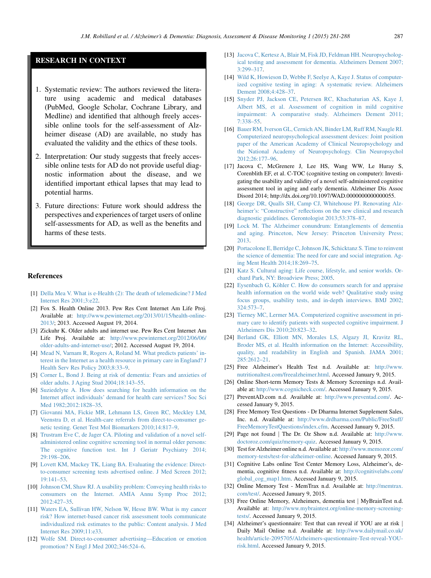# <span id="page-6-0"></span>RESEARCH IN CONTEXT

- 1. Systematic review: The authors reviewed the literature using academic and medical databases (PubMed, Google Scholar, Cochrane Library, and Medline) and identified that although freely accessible online tools for the self-assessment of Alzheimer disease (AD) are available, no study has evaluated the validity and the ethics of these tools.
- 2. Interpretation: Our study suggests that freely accessible online tests for AD do not provide useful diagnostic information about the disease, and we identified important ethical lapses that may lead to potential harms.
- 3. Future directions: Future work should address the perspectives and experiences of target users of online self-assessments for AD, as well as the benefits and harms of these tests.

## References

- [1] [Della Mea V. What is e-Health \(2\): The death of telemedicine? J Med](http://refhub.elsevier.com/S2352-8729(15)00055-X/sref1) [Internet Res 2001;3:e22](http://refhub.elsevier.com/S2352-8729(15)00055-X/sref1).
- [2] Fox S. Health Online 2013. Pew Res Cent Internet Am Life Proj. Available at: [http://www.pewinternet.org/2013/01/15/health-online-](http://www.pewinternet.org/2013/01/15/health-online-2013/)[2013/](http://www.pewinternet.org/2013/01/15/health-online-2013/); 2013. Accessed August 19, 2014.
- [3] Zickuhr K. Older adults and internet use. Pew Res Cent Internet Am Life Proj. Available at: [http://www.pewinternet.org/2012/06/06/](http://www.pewinternet.org/2012/06/06/older-adults-and-internet-use/) [older-adults-and-internet-use/;](http://www.pewinternet.org/2012/06/06/older-adults-and-internet-use/) 2012. Accessed August 19, 2014.
- [4] [Mead N, Varnam R, Rogers A, Roland M. What predicts patients' in](http://refhub.elsevier.com/S2352-8729(15)00055-X/sref4)[terest in the Internet as a health resource in primary care in England? J](http://refhub.elsevier.com/S2352-8729(15)00055-X/sref4) [Health Serv Res Policy 2003;8:33–9](http://refhub.elsevier.com/S2352-8729(15)00055-X/sref4).
- [5] [Corner L, Bond J. Being at risk of dementia: Fears and anxieties of](http://refhub.elsevier.com/S2352-8729(15)00055-X/sref5) [older adults. J Aging Stud 2004;18:143–55.](http://refhub.elsevier.com/S2352-8729(15)00055-X/sref5)
- [6] [Suziedelyte A. How does searching for health information on the](http://refhub.elsevier.com/S2352-8729(15)00055-X/sref6) [Internet affect individuals' demand for health care services? Soc Sci](http://refhub.elsevier.com/S2352-8729(15)00055-X/sref6) [Med 1982;2012:1828–35](http://refhub.elsevier.com/S2352-8729(15)00055-X/sref6).
- [7] [Giovanni MA, Fickie MR, Lehmann LS, Green RC, Meckley LM,](http://refhub.elsevier.com/S2352-8729(15)00055-X/sref7) [Veenstra D, et al. Health-care referrals from direct-to-consumer ge](http://refhub.elsevier.com/S2352-8729(15)00055-X/sref7)[netic testing. Genet Test Mol Biomarkers 2010;14:817–9](http://refhub.elsevier.com/S2352-8729(15)00055-X/sref7).
- [8] [Trustram Eve C, de Jager CA. Piloting and validation of a novel self](http://refhub.elsevier.com/S2352-8729(15)00055-X/sref8)[administered online cognitive screening tool in normal older persons:](http://refhub.elsevier.com/S2352-8729(15)00055-X/sref8) [The cognitive function test. Int J Geriatr Psychiatry 2014;](http://refhub.elsevier.com/S2352-8729(15)00055-X/sref8) [29:198–206](http://refhub.elsevier.com/S2352-8729(15)00055-X/sref8).
- [9] [Lovett KM, Mackey TK, Liang BA. Evaluating the evidence: Direct](http://refhub.elsevier.com/S2352-8729(15)00055-X/sref9)[to-consumer screening tests advertised online. J Med Screen 2012;](http://refhub.elsevier.com/S2352-8729(15)00055-X/sref9) [19:141–53](http://refhub.elsevier.com/S2352-8729(15)00055-X/sref9).
- [10] [Johnson CM, Shaw RJ. A usability problem: Conveying health risks to](http://refhub.elsevier.com/S2352-8729(15)00055-X/sref10) [consumers on the Internet. AMIA Annu Symp Proc 2012;](http://refhub.elsevier.com/S2352-8729(15)00055-X/sref10) [2012:427–35](http://refhub.elsevier.com/S2352-8729(15)00055-X/sref10).
- [11] [Waters EA, Sullivan HW, Nelson W, Hesse BW. What is my cancer](http://refhub.elsevier.com/S2352-8729(15)00055-X/sref11) [risk? How internet-based cancer risk assessment tools communicate](http://refhub.elsevier.com/S2352-8729(15)00055-X/sref11) [individualized risk estimates to the public: Content analysis. J Med](http://refhub.elsevier.com/S2352-8729(15)00055-X/sref11) [Internet Res 2009;11:e33](http://refhub.elsevier.com/S2352-8729(15)00055-X/sref11).
- [12] [Wolfe SM. Direct-to-consumer advertising—Education or emotion](http://refhub.elsevier.com/S2352-8729(15)00055-X/sref12) [promotion? N Engl J Med 2002;346:524–6.](http://refhub.elsevier.com/S2352-8729(15)00055-X/sref12)
- [13] [Jacova C, Kertesz A, Blair M, Fisk JD, Feldman HH. Neuropsycholog](http://refhub.elsevier.com/S2352-8729(15)00055-X/sref13)[ical testing and assessment for dementia. Alzheimers Dement 2007;](http://refhub.elsevier.com/S2352-8729(15)00055-X/sref13) [3:299–317](http://refhub.elsevier.com/S2352-8729(15)00055-X/sref13).
- [14] [Wild K, Howieson D, Webbe F, Seelye A, Kaye J. Status of computer](http://refhub.elsevier.com/S2352-8729(15)00055-X/sref14)[ized cognitive testing in aging: A systematic review. Alzheimers](http://refhub.elsevier.com/S2352-8729(15)00055-X/sref14) [Dement 2008;4:428–37.](http://refhub.elsevier.com/S2352-8729(15)00055-X/sref14)
- [15] [Snyder PJ, Jackson CE, Petersen RC, Khachaturian AS, Kaye J,](http://refhub.elsevier.com/S2352-8729(15)00055-X/sref15) [Albert MS, et al. Assessment of cognition in mild cognitive](http://refhub.elsevier.com/S2352-8729(15)00055-X/sref15) [impairment: A comparative study. Alzheimers Dement 2011;](http://refhub.elsevier.com/S2352-8729(15)00055-X/sref15) [7:338–55.](http://refhub.elsevier.com/S2352-8729(15)00055-X/sref15)
- [16] [Bauer RM, Iverson GL, Cernich AN, Binder LM, Ruff RM, Naugle RI.](http://refhub.elsevier.com/S2352-8729(15)00055-X/sref16) [Computerized neuropsychological assessment devices: Joint position](http://refhub.elsevier.com/S2352-8729(15)00055-X/sref16) [paper of the American Academy of Clinical Neuropsychology and](http://refhub.elsevier.com/S2352-8729(15)00055-X/sref16) [the National Academy of Neuropsychology. Clin Neuropsychol](http://refhub.elsevier.com/S2352-8729(15)00055-X/sref16) [2012;26:177–96](http://refhub.elsevier.com/S2352-8729(15)00055-X/sref16).
- [17] Jacova C, McGrenere J, Lee HS, Wang WW, Le Huray S, Corenblith EF, et al. C-TOC (cognitive testing on computer): Investigating the usability and validity of a novel self-administered cognitive assessment tool in aging and early dementia. Alzheimer Dis Assoc Disord 2014; http://dx.doi.org/10.1097/WAD.0000000000000055.
- [18] [George DR, Qualls SH, Camp CJ, Whitehouse PJ. Renovating Alz](http://refhub.elsevier.com/S2352-8729(15)00055-X/sref18)[heimer's: "Constructive" reflections on the new clinical and research](http://refhub.elsevier.com/S2352-8729(15)00055-X/sref18) [diagnostic guidelines. Gerontologist 2013;53:378–87](http://refhub.elsevier.com/S2352-8729(15)00055-X/sref18).
- [19] [Lock M. The Alzheimer conundrum: Entanglements of dementia](http://refhub.elsevier.com/S2352-8729(15)00055-X/sref19) [and aging. Princeton, New Jersey: Princeton University Press;](http://refhub.elsevier.com/S2352-8729(15)00055-X/sref19) [2013](http://refhub.elsevier.com/S2352-8729(15)00055-X/sref19).
- [20] [Portacolone E, Berridge C, Johnson JK, Schicktanz S. Time to reinvent](http://refhub.elsevier.com/S2352-8729(15)00055-X/sref20) [the science of dementia: The need for care and social integration. Ag](http://refhub.elsevier.com/S2352-8729(15)00055-X/sref20)[ing Ment Health 2014;18:269–75](http://refhub.elsevier.com/S2352-8729(15)00055-X/sref20).
- [21] [Katz S. Cultural aging: Life course, lifestyle, and senior worlds. Or](http://refhub.elsevier.com/S2352-8729(15)00055-X/sref21)[chard Park, NY: Broadview Press; 2005](http://refhub.elsevier.com/S2352-8729(15)00055-X/sref21).
- [22] [Eysenbach G, K](http://refhub.elsevier.com/S2352-8729(15)00055-X/sref22)öhler C. How do consumers search for and appraise [health information on the world wide web? Qualitative study using](http://refhub.elsevier.com/S2352-8729(15)00055-X/sref22) [focus groups, usability tests, and in-depth interviews. BMJ 2002;](http://refhub.elsevier.com/S2352-8729(15)00055-X/sref22) [324:573–7](http://refhub.elsevier.com/S2352-8729(15)00055-X/sref22).
- [23] [Tierney MC, Lermer MA. Computerized cognitive assessment in pri](http://refhub.elsevier.com/S2352-8729(15)00055-X/sref23)[mary care to identify patients with suspected cognitive impairment. J](http://refhub.elsevier.com/S2352-8729(15)00055-X/sref23) [Alzheimers Dis 2010;20:823–32.](http://refhub.elsevier.com/S2352-8729(15)00055-X/sref23)
- [24] [Berland GK, Elliott MN, Morales LS, Algazy JI, Kravitz RL,](http://refhub.elsevier.com/S2352-8729(15)00055-X/sref24) [Broder MS, et al. Health information on the Internet: Accessibility,](http://refhub.elsevier.com/S2352-8729(15)00055-X/sref24) [quality, and readability in English and Spanish. JAMA 2001;](http://refhub.elsevier.com/S2352-8729(15)00055-X/sref24) [285:2612–21](http://refhub.elsevier.com/S2352-8729(15)00055-X/sref24).
- [25] Free Alzheimer's Health Test n.d. Available at: [http://www.](http://www.nutritionaltest.com/freealzheimer.html) [nutritionaltest.com/freealzheimer.html.](http://www.nutritionaltest.com/freealzheimer.html) Accessed January 9, 2015.
- [26] Online Short-term Memory Tests & Memory Screenings n.d. Available at: <http://www.cognicheck.com/>. Accessed January 9, 2015.
- [27] PreventAD.com n.d. Available at: <http://www.preventad.com/>. Accessed January 9, 2015.
- [28] Free Memory Test Questions Dr Dharma Internet Supplement Sales, Inc. n.d. Available at: [http://www.drdharma.com/Public/FreeStuff/](http://www.drdharma.com/Public/FreeStuff/FreeMemoryTestQuestions/index.cfm) [FreeMemoryTestQuestions/index.cfm](http://www.drdharma.com/Public/FreeStuff/FreeMemoryTestQuestions/index.cfm). Accessed January 9, 2015.
- [29] Page not found | The Dr. Oz Show n.d. Available at: [http://www.](http://www.doctoroz.com/quiz/memory-quiz) [doctoroz.com/quiz/memory-quiz.](http://www.doctoroz.com/quiz/memory-quiz) Accessed January 9, 2015.
- [30] Test for Alzheimer online n.d. Available at: [http://www.memozor.com/](http://www.memozor.com/memory-tests/test-for-alzheimer-online) [memory-tests/test-for-alzheimer-online](http://www.memozor.com/memory-tests/test-for-alzheimer-online). Accessed January 9, 2015.
- [31] Cognitive Labs online Test Center Memory Loss, Alzheimer's, dementia, cognitive fitness n.d. Available at: [http://cognitivelabs.com/](http://cognitivelabs.com/global_cog_map1.htm) [global\\_cog\\_map1.htm.](http://cognitivelabs.com/global_cog_map1.htm) Accessed January 9, 2015.
- [32] Online Memory Test MemTrax n.d. Available at: [http://memtrax.](http://memtrax.com/test/) [com/test/.](http://memtrax.com/test/) Accessed January 9, 2015.
- [33] Free Online Memory, Alzheimers, dementia test | MyBrainTest n.d. Available at: [http://www.mybraintest.org/online-memory-screening](http://www.mybraintest.org/online-memory-screening-tests/)[tests/.](http://www.mybraintest.org/online-memory-screening-tests/) Accessed January 9, 2015.
- [34] Alzheimer's questionnaire: Test that can reveal if YOU are at risk  $\vert$ Daily Mail Online n.d. Available at: [http://www.dailymail.co.uk/](http://www.dailymail.co.uk/health/article-2095705/Alzheimers-questionnaire-Test-reveal-YOU-risk.html) [health/article-2095705/Alzheimers-questionnaire-Test-reveal-YOU](http://www.dailymail.co.uk/health/article-2095705/Alzheimers-questionnaire-Test-reveal-YOU-risk.html)[risk.html.](http://www.dailymail.co.uk/health/article-2095705/Alzheimers-questionnaire-Test-reveal-YOU-risk.html) Accessed January 9, 2015.